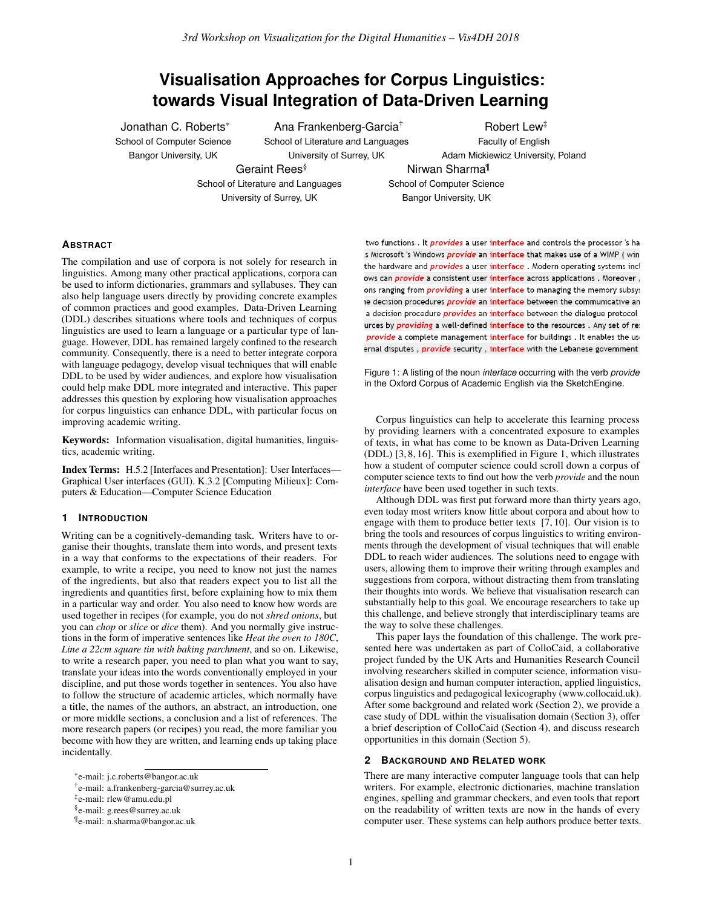# **Visualisation Approaches for Corpus Linguistics: towards Visual Integration of Data-Driven Learning**

Jonathan C. Roberts\* School of Computer Science Bangor University, UK

Ana Frankenberg-Garcia† School of Literature and Languages University of Surrey, UK

Geraint Rees<sup>§</sup> School of Literature and Languages University of Surrey, UK

Robert Lew‡ Faculty of English Adam Mickiewicz University, Poland Nirwan Sharma¶

School of Computer Science Bangor University, UK

## **ABSTRACT**

The compilation and use of corpora is not solely for research in linguistics. Among many other practical applications, corpora can be used to inform dictionaries, grammars and syllabuses. They can also help language users directly by providing concrete examples of common practices and good examples. Data-Driven Learning (DDL) describes situations where tools and techniques of corpus linguistics are used to learn a language or a particular type of language. However, DDL has remained largely confined to the research community. Consequently, there is a need to better integrate corpora with language pedagogy, develop visual techniques that will enable DDL to be used by wider audiences, and explore how visualisation could help make DDL more integrated and interactive. This paper addresses this question by exploring how visualisation approaches for corpus linguistics can enhance DDL, with particular focus on improving academic writing.

Keywords: Information visualisation, digital humanities, linguistics, academic writing.

Index Terms: H.5.2 [Interfaces and Presentation]: User Interfaces— Graphical User interfaces (GUI). K.3.2 [Computing Milieux]: Computers & Education—Computer Science Education

#### **1 INTRODUCTION**

Writing can be a cognitively-demanding task. Writers have to organise their thoughts, translate them into words, and present texts in a way that conforms to the expectations of their readers. For example, to write a recipe, you need to know not just the names of the ingredients, but also that readers expect you to list all the ingredients and quantities first, before explaining how to mix them in a particular way and order. You also need to know how words are used together in recipes (for example, you do not *shred onions*, but you can *chop* or *slice* or *dice* them). And you normally give instructions in the form of imperative sentences like *Heat the oven to 180C*, *Line a 22cm square tin with baking parchment*, and so on. Likewise, to write a research paper, you need to plan what you want to say, translate your ideas into the words conventionally employed in your discipline, and put those words together in sentences. You also have to follow the structure of academic articles, which normally have a title, the names of the authors, an abstract, an introduction, one or more middle sections, a conclusion and a list of references. The more research papers (or recipes) you read, the more familiar you become with how they are written, and learning ends up taking place incidentally.

two functions. It *provides* a user interface and controls the processor's ha s Microsoft 's Windows *provide* an interface that makes use of a WIMP ( win the hardware and *provides* a user interface. Modern operating systems incl ows can *provide* a consistent user interface across applications . Moreover, ons ranging from *providing* a user interface to managing the memory subsy: le decision procedures *provide* an interface between the communicative an a decision procedure *provides* an interface between the dialogue protocol urces by providing a well-defined interface to the resources. Any set of re: provide a complete management interface for buildings. It enables the usernal disputes, *provide* security, interface with the Lebanese government

<span id="page-0-0"></span>Figure 1: A listing of the noun *interface* occurring with the verb *provide* in the Oxford Corpus of Academic English via the SketchEngine.

Corpus linguistics can help to accelerate this learning process by providing learners with a concentrated exposure to examples of texts, in what has come to be known as Data-Driven Learning (DDL) [\[3,](#page-4-0) [8,](#page-4-1) [16\]](#page-4-2). This is exemplified in Figure [1,](#page-0-0) which illustrates how a student of computer science could scroll down a corpus of computer science texts to find out how the verb *provide* and the noun *interface* have been used together in such texts.

Although DDL was first put forward more than thirty years ago, even today most writers know little about corpora and about how to engage with them to produce better texts [\[7,](#page-4-3) [10\]](#page-4-4). Our vision is to bring the tools and resources of corpus linguistics to writing environments through the development of visual techniques that will enable DDL to reach wider audiences. The solutions need to engage with users, allowing them to improve their writing through examples and suggestions from corpora, without distracting them from translating their thoughts into words. We believe that visualisation research can substantially help to this goal. We encourage researchers to take up this challenge, and believe strongly that interdisciplinary teams are the way to solve these challenges.

This paper lays the foundation of this challenge. The work presented here was undertaken as part of ColloCaid, a collaborative project funded by the UK Arts and Humanities Research Council involving researchers skilled in computer science, information visualisation design and human computer interaction, applied linguistics, corpus linguistics and pedagogical lexicography (www.collocaid.uk). After some background and related work (Section [2\)](#page-0-1), we provide a case study of DDL within the visualisation domain (Section [3\)](#page-1-0), offer a brief description of ColloCaid (Section [4\)](#page-2-0), and discuss research opportunities in this domain (Section [5\)](#page-3-0).

### <span id="page-0-1"></span>**2 BACKGROUND AND RELATED WORK**

There are many interactive computer language tools that can help writers. For example, electronic dictionaries, machine translation engines, spelling and grammar checkers, and even tools that report on the readability of written texts are now in the hands of every computer user. These systems can help authors produce better texts.

<sup>\*</sup>e-mail: j.c.roberts@bangor.ac.uk

<sup>†</sup> e-mail: a.frankenberg-garcia@surrey.ac.uk

<sup>‡</sup> e-mail: rlew@amu.edu.pl

<sup>§</sup> e-mail: g.rees@surrey.ac.uk

<sup>¶</sup> e-mail: n.sharma@bangor.ac.uk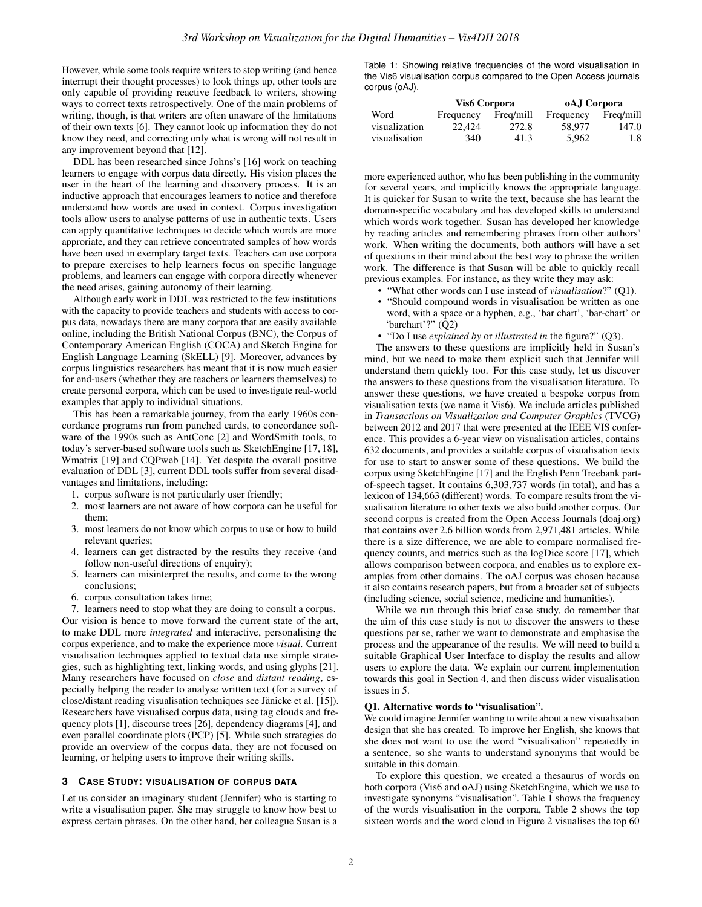However, while some tools require writers to stop writing (and hence interrupt their thought processes) to look things up, other tools are only capable of providing reactive feedback to writers, showing ways to correct texts retrospectively. One of the main problems of writing, though, is that writers are often unaware of the limitations of their own texts [\[6\]](#page-4-5). They cannot look up information they do not know they need, and correcting only what is wrong will not result in any improvement beyond that [\[12\]](#page-4-6).

DDL has been researched since Johns's [\[16\]](#page-4-2) work on teaching learners to engage with corpus data directly. His vision places the user in the heart of the learning and discovery process. It is an inductive approach that encourages learners to notice and therefore understand how words are used in context. Corpus investigation tools allow users to analyse patterns of use in authentic texts. Users can apply quantitative techniques to decide which words are more approriate, and they can retrieve concentrated samples of how words have been used in exemplary target texts. Teachers can use corpora to prepare exercises to help learners focus on specific language problems, and learners can engage with corpora directly whenever the need arises, gaining autonomy of their learning.

Although early work in DDL was restricted to the few institutions with the capacity to provide teachers and students with access to corpus data, nowadays there are many corpora that are easily available online, including the British National Corpus (BNC), the Corpus of Contemporary American English (COCA) and Sketch Engine for English Language Learning (SkELL) [\[9\]](#page-4-7). Moreover, advances by corpus linguistics researchers has meant that it is now much easier for end-users (whether they are teachers or learners themselves) to create personal corpora, which can be used to investigate real-world examples that apply to individual situations.

This has been a remarkable journey, from the early 1960s concordance programs run from punched cards, to concordance software of the 1990s such as AntConc [\[2\]](#page-4-8) and WordSmith tools, to today's server-based software tools such as SketchEngine [\[17,](#page-4-9) [18\]](#page-4-10), Wmatrix [\[19\]](#page-4-11) and CQPweb [\[14\]](#page-4-12). Yet despite the overall positive evaluation of DDL [\[3\]](#page-4-0), current DDL tools suffer from several disadvantages and limitations, including:

- 1. corpus software is not particularly user friendly;
- 2. most learners are not aware of how corpora can be useful for them;
- 3. most learners do not know which corpus to use or how to build relevant queries;
- 4. learners can get distracted by the results they receive (and follow non-useful directions of enquiry);
- 5. learners can misinterpret the results, and come to the wrong conclusions;
- 6. corpus consultation takes time;

7. learners need to stop what they are doing to consult a corpus. Our vision is hence to move forward the current state of the art, to make DDL more *integrated* and interactive, personalising the corpus experience, and to make the experience more *visual*. Current visualisation techniques applied to textual data use simple strategies, such as highlighting text, linking words, and using glyphs [\[21\]](#page-4-13). Many researchers have focused on *close* and *distant reading*, especially helping the reader to analyse written text (for a survey of close/distant reading visualisation techniques see Jänicke et al. [[15\]](#page-4-14)). Researchers have visualised corpus data, using tag clouds and frequency plots [\[1\]](#page-4-15), discourse trees [\[26\]](#page-4-16), dependency diagrams [\[4\]](#page-4-17), and even parallel coordinate plots (PCP) [\[5\]](#page-4-18). While such strategies do provide an overview of the corpus data, they are not focused on learning, or helping users to improve their writing skills.

#### <span id="page-1-0"></span>**3 CASE STUDY: VISUALISATION OF CORPUS DATA**

Let us consider an imaginary student (Jennifer) who is starting to write a visualisation paper. She may struggle to know how best to express certain phrases. On the other hand, her colleague Susan is a <span id="page-1-1"></span>Table 1: Showing relative frequencies of the word visualisation in the Vis6 visualisation corpus compared to the Open Access journals corpus (oAJ).

|               | Vis <sub>6</sub> Corpora |           | oAJ Corpora |           |
|---------------|--------------------------|-----------|-------------|-----------|
| Word          | Frequency                | Freq/mill | Frequency   | Freq/mill |
| visualization | 22,424                   | 272.8     | 58.977      | 147.0     |
| visualisation | 340                      | 41.3      | 5.962       | 1.8       |

more experienced author, who has been publishing in the community for several years, and implicitly knows the appropriate language. It is quicker for Susan to write the text, because she has learnt the domain-specific vocabulary and has developed skills to understand which words work together. Susan has developed her knowledge by reading articles and remembering phrases from other authors' work. When writing the documents, both authors will have a set of questions in their mind about the best way to phrase the written work. The difference is that Susan will be able to quickly recall previous examples. For instance, as they write they may ask:

- "What other words can I use instead of *visualisation*?" (Q1).
- "Should compound words in visualisation be written as one word, with a space or a hyphen, e.g., 'bar chart', 'bar-chart' or 'barchart'?" (Q2)
- "Do I use *explained by* or *illustrated in* the figure?" (Q3).

The answers to these questions are implicitly held in Susan's mind, but we need to make them explicit such that Jennifer will understand them quickly too. For this case study, let us discover the answers to these questions from the visualisation literature. To answer these questions, we have created a bespoke corpus from visualisation texts (we name it Vis6). We include articles published in *Transactions on Visualization and Computer Graphics* (TVCG) between 2012 and 2017 that were presented at the IEEE VIS conference. This provides a 6-year view on visualisation articles, contains 632 documents, and provides a suitable corpus of visualisation texts for use to start to answer some of these questions. We build the corpus using SketchEngine [\[17\]](#page-4-9) and the English Penn Treebank partof-speech tagset. It contains 6,303,737 words (in total), and has a lexicon of 134,663 (different) words. To compare results from the visualisation literature to other texts we also build another corpus. Our second corpus is created from the Open Access Journals (doaj.org) that contains over 2.6 billion words from 2,971,481 articles. While there is a size difference, we are able to compare normalised frequency counts, and metrics such as the logDice score [\[17\]](#page-4-9), which allows comparison between corpora, and enables us to explore examples from other domains. The oAJ corpus was chosen because it also contains research papers, but from a broader set of subjects (including science, social science, medicine and humanities).

While we run through this brief case study, do remember that the aim of this case study is not to discover the answers to these questions per se, rather we want to demonstrate and emphasise the process and the appearance of the results. We will need to build a suitable Graphical User Interface to display the results and allow users to explore the data. We explain our current implementation towards this goal in Section [4,](#page-2-0) and then discuss wider visualisation issues in [5.](#page-3-0)

#### Q1. Alternative words to "visualisation".

We could imagine Jennifer wanting to write about a new visualisation design that she has created. To improve her English, she knows that she does not want to use the word "visualisation" repeatedly in a sentence, so she wants to understand synonyms that would be suitable in this domain.

To explore this question, we created a thesaurus of words on both corpora (Vis6 and oAJ) using SketchEngine, which we use to investigate synonyms "visualisation". Table [1](#page-1-1) shows the frequency of the words visualisation in the corpora, Table [2](#page-2-1) shows the top sixteen words and the word cloud in Figure [2](#page-2-2) visualises the top 60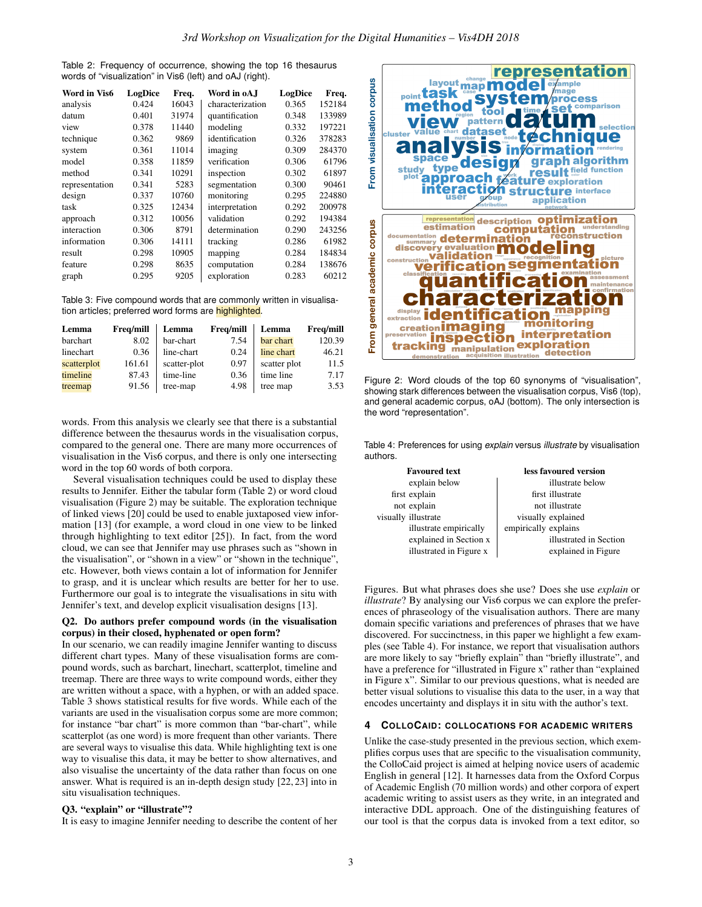<span id="page-2-1"></span>Table 2: Frequency of occurrence, showing the top 16 thesaurus words of "visualization" in Vis6 (left) and oAJ (right).

| Word in Vis6   | LogDice | Freq. | Word in oA.I     | LogDice | Freq.  |
|----------------|---------|-------|------------------|---------|--------|
| analysis       | 0.424   | 16043 | characterization | 0.365   | 152184 |
| datum          | 0.401   | 31974 | quantification   | 0.348   | 133989 |
| view           | 0.378   | 11440 | modeling         | 0.332   | 197221 |
| technique      | 0.362   | 9869  | identification   | 0.326   | 378283 |
| system         | 0.361   | 11014 | imaging          | 0.309   | 284370 |
| model          | 0.358   | 11859 | verification     | 0.306   | 61796  |
| method         | 0.341   | 10291 | inspection       | 0.302   | 61897  |
| representation | 0.341   | 5283  | segmentation     | 0.300   | 90461  |
| design         | 0.337   | 10760 | monitoring       | 0.295   | 224880 |
| task           | 0.325   | 12434 | interpretation   | 0.292   | 200978 |
| approach       | 0.312   | 10056 | validation       | 0.292   | 194384 |
| interaction    | 0.306   | 8791  | determination    | 0.290   | 243256 |
| information    | 0.306   | 14111 | tracking         | 0.286   | 61982  |
| result         | 0.298   | 10905 | mapping          | 0.284   | 184834 |
| feature        | 0.298   | 8635  | computation      | 0.284   | 138676 |
| graph          | 0.295   | 9205  | exploration      | 0.283   | 60212  |

<span id="page-2-3"></span>Table 3: Five compound words that are commonly written in visualisation articles; preferred word forms are highlighted.

| Lemma       | <b>Frea/mill</b> | Lemma        | Freq/mill | Lemma        | Freq/mill |
|-------------|------------------|--------------|-----------|--------------|-----------|
| barchart    | 8.02             | bar-chart    | 7.54      | bar chart    | 120.39    |
| linechart   | 0.36             | line-chart   | 0.24      | line chart   | 46.21     |
| scatterplot | 161.61           | scatter-plot | 0.97      | scatter plot | 11.5      |
| timeline    | 87.43            | time-line    | 0.36      | time line    | 7.17      |
| treemap     | 91.56            | tree-map     | 4.98      | tree map     | 3.53      |

words. From this analysis we clearly see that there is a substantial difference between the thesaurus words in the visualisation corpus, compared to the general one. There are many more occurrences of visualisation in the Vis6 corpus, and there is only one intersecting word in the top 60 words of both corpora.

Several visualisation techniques could be used to display these results to Jennifer. Either the tabular form (Table [2\)](#page-2-1) or word cloud visualisation (Figure [2\)](#page-2-2) may be suitable. The exploration technique of linked views [\[20\]](#page-4-19) could be used to enable juxtaposed view information [\[13\]](#page-4-20) (for example, a word cloud in one view to be linked through highlighting to text editor [\[25\]](#page-4-21)). In fact, from the word cloud, we can see that Jennifer may use phrases such as "shown in the visualisation", or "shown in a view" or "shown in the technique", etc. However, both views contain a lot of information for Jennifer to grasp, and it is unclear which results are better for her to use. Furthermore our goal is to integrate the visualisations in situ with Jennifer's text, and develop explicit visualisation designs [\[13\]](#page-4-20).

#### Q2. Do authors prefer compound words (in the visualisation corpus) in their closed, hyphenated or open form?

In our scenario, we can readily imagine Jennifer wanting to discuss different chart types. Many of these visualisation forms are compound words, such as barchart, linechart, scatterplot, timeline and treemap. There are three ways to write compound words, either they are written without a space, with a hyphen, or with an added space. Table [3](#page-2-3) shows statistical results for five words. While each of the variants are used in the visualisation corpus some are more common; for instance "bar chart" is more common than "bar-chart", while scatterplot (as one word) is more frequent than other variants. There are several ways to visualise this data. While highlighting text is one way to visualise this data, it may be better to show alternatives, and also visualise the uncertainty of the data rather than focus on one answer. What is required is an in-depth design study [\[22,](#page-4-22) [23\]](#page-4-23) into in situ visualisation techniques.

## Q3. "explain" or "illustrate"?

It is easy to imagine Jennifer needing to describe the content of her



<span id="page-2-2"></span>Figure 2: Word clouds of the top 60 synonyms of "visualisation", showing stark differences between the visualisation corpus, Vis6 (top), and general academic corpus, oAJ (bottom). The only intersection is the word "representation".

<span id="page-2-4"></span>Table 4: Preferences for using *explain* versus *illustrate* by visualisation authors.

| <b>Favoured text</b>    | less favoured version  |
|-------------------------|------------------------|
| explain below           | illustrate below       |
| first explain           | first illustrate       |
| not explain             | not illustrate         |
| visually illustrate     | visually explained     |
| illustrate empirically  | empirically explains   |
| explained in Section x  | illustrated in Section |
| illustrated in Figure x | explained in Figure    |

Figures. But what phrases does she use? Does she use *explain* or *illustrate*? By analysing our Vis6 corpus we can explore the preferences of phraseology of the visualisation authors. There are many domain specific variations and preferences of phrases that we have discovered. For succinctness, in this paper we highlight a few examples (see Table [4\)](#page-2-4). For instance, we report that visualisation authors are more likely to say "briefly explain" than "briefly illustrate", and have a preference for "illustrated in Figure x" rather than "explained in Figure x". Similar to our previous questions, what is needed are better visual solutions to visualise this data to the user, in a way that encodes uncertainty and displays it in situ with the author's text.

## <span id="page-2-0"></span>**4 COLLOCAID: COLLOCATIONS FOR ACADEMIC WRITERS**

Unlike the case-study presented in the previous section, which exemplifies corpus uses that are specific to the visualisation community, the ColloCaid project is aimed at helping novice users of academic English in general [\[12\]](#page-4-6). It harnesses data from the Oxford Corpus of Academic English (70 million words) and other corpora of expert academic writing to assist users as they write, in an integrated and interactive DDL approach. One of the distinguishing features of our tool is that the corpus data is invoked from a text editor, so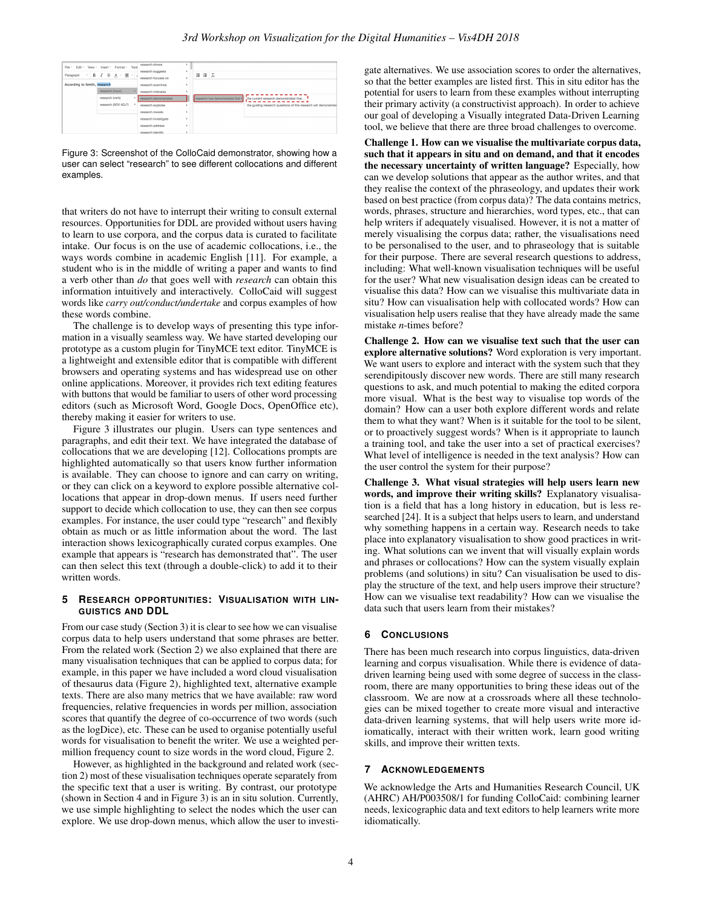| Tools<br>Format -<br>File v Edit v<br>$V$ iew $-$<br>Insert ~<br>$B$ $I$ $S$ $A$ $\cdot$ $M$ $\cdot$<br>Paragraph<br>v. | research shows<br>research suggests<br>research focuses on |   | 理理工                                                                         |
|-------------------------------------------------------------------------------------------------------------------------|------------------------------------------------------------|---|-----------------------------------------------------------------------------|
| According to Smith, research                                                                                            | research examines                                          |   |                                                                             |
| research (noun)                                                                                                         | research indicates                                         | ٠ |                                                                             |
| research (verb)                                                                                                         | research demonstrates                                      |   | research has demonstrated that ><br>.the current research demonstrated that |
| research (ADV ADJ")                                                                                                     | research explores                                          |   | the quiding research questions of this research will demonstrate            |
|                                                                                                                         | research reveals.                                          |   |                                                                             |
|                                                                                                                         | research investigate                                       |   |                                                                             |
|                                                                                                                         | research address                                           |   |                                                                             |
|                                                                                                                         | research identify                                          |   |                                                                             |

<span id="page-3-1"></span>Figure 3: Screenshot of the ColloCaid demonstrator, showing how a user can select "research" to see different collocations and different examples.

that writers do not have to interrupt their writing to consult external resources. Opportunities for DDL are provided without users having to learn to use corpora, and the corpus data is curated to facilitate intake. Our focus is on the use of academic collocations, i.e., the ways words combine in academic English [\[11\]](#page-4-24). For example, a student who is in the middle of writing a paper and wants to find a verb other than *do* that goes well with *research* can obtain this information intuitively and interactively. ColloCaid will suggest words like *carry out/conduct/undertake* and corpus examples of how these words combine.

The challenge is to develop ways of presenting this type information in a visually seamless way. We have started developing our prototype as a custom plugin for TinyMCE text editor. TinyMCE is a lightweight and extensible editor that is compatible with different browsers and operating systems and has widespread use on other online applications. Moreover, it provides rich text editing features with buttons that would be familiar to users of other word processing editors (such as Microsoft Word, Google Docs, OpenOffice etc), thereby making it easier for writers to use.

Figure [3](#page-3-1) illustrates our plugin. Users can type sentences and paragraphs, and edit their text. We have integrated the database of collocations that we are developing [\[12\]](#page-4-6). Collocations prompts are highlighted automatically so that users know further information is available. They can choose to ignore and can carry on writing, or they can click on a keyword to explore possible alternative collocations that appear in drop-down menus. If users need further support to decide which collocation to use, they can then see corpus examples. For instance, the user could type "research" and flexibly obtain as much or as little information about the word. The last interaction shows lexicographically curated corpus examples. One example that appears is "research has demonstrated that". The user can then select this text (through a double-click) to add it to their written words.

## <span id="page-3-0"></span>**5 RESEARCH OPPORTUNITIES: VISUALISATION WITH LIN-GUISTICS AND DDL**

From our case study (Section [3\)](#page-1-0) it is clear to see how we can visualise corpus data to help users understand that some phrases are better. From the related work (Section [2\)](#page-0-1) we also explained that there are many visualisation techniques that can be applied to corpus data; for example, in this paper we have included a word cloud visualisation of thesaurus data (Figure [2\)](#page-2-2), highlighted text, alternative example texts. There are also many metrics that we have available: raw word frequencies, relative frequencies in words per million, association scores that quantify the degree of co-occurrence of two words (such as the logDice), etc. These can be used to organise potentially useful words for visualisation to benefit the writer. We use a weighted permillion frequency count to size words in the word cloud, Figure [2.](#page-2-2)

However, as highlighted in the background and related work (section [2\)](#page-0-1) most of these visualisation techniques operate separately from the specific text that a user is writing. By contrast, our prototype (shown in Section [4](#page-2-0) and in Figure [3\)](#page-3-1) is an in situ solution. Currently, we use simple highlighting to select the nodes which the user can explore. We use drop-down menus, which allow the user to investigate alternatives. We use association scores to order the alternatives, so that the better examples are listed first. This in situ editor has the potential for users to learn from these examples without interrupting their primary activity (a constructivist approach). In order to achieve our goal of developing a Visually integrated Data-Driven Learning tool, we believe that there are three broad challenges to overcome.

Challenge 1. How can we visualise the multivariate corpus data, such that it appears in situ and on demand, and that it encodes the necessary uncertainty of written language? Especially, how can we develop solutions that appear as the author writes, and that they realise the context of the phraseology, and updates their work based on best practice (from corpus data)? The data contains metrics, words, phrases, structure and hierarchies, word types, etc., that can help writers if adequately visualised. However, it is not a matter of merely visualising the corpus data; rather, the visualisations need to be personalised to the user, and to phraseology that is suitable for their purpose. There are several research questions to address, including: What well-known visualisation techniques will be useful for the user? What new visualisation design ideas can be created to visualise this data? How can we visualise this multivariate data in situ? How can visualisation help with collocated words? How can visualisation help users realise that they have already made the same mistake *n*-times before?

Challenge 2. How can we visualise text such that the user can explore alternative solutions? Word exploration is very important. We want users to explore and interact with the system such that they serendipitously discover new words. There are still many research questions to ask, and much potential to making the edited corpora more visual. What is the best way to visualise top words of the domain? How can a user both explore different words and relate them to what they want? When is it suitable for the tool to be silent, or to proactively suggest words? When is it appropriate to launch a training tool, and take the user into a set of practical exercises? What level of intelligence is needed in the text analysis? How can the user control the system for their purpose?

Challenge 3. What visual strategies will help users learn new words, and improve their writing skills? Explanatory visualisation is a field that has a long history in education, but is less researched [\[24\]](#page-4-25). It is a subject that helps users to learn, and understand why something happens in a certain way. Research needs to take place into explanatory visualisation to show good practices in writing. What solutions can we invent that will visually explain words and phrases or collocations? How can the system visually explain problems (and solutions) in situ? Can visualisation be used to display the structure of the text, and help users improve their structure? How can we visualise text readability? How can we visualise the data such that users learn from their mistakes?

# **6 CONCLUSIONS**

There has been much research into corpus linguistics, data-driven learning and corpus visualisation. While there is evidence of datadriven learning being used with some degree of success in the classroom, there are many opportunities to bring these ideas out of the classroom. We are now at a crossroads where all these technologies can be mixed together to create more visual and interactive data-driven learning systems, that will help users write more idiomatically, interact with their written work, learn good writing skills, and improve their written texts.

# **7 ACKNOWLEDGEMENTS**

We acknowledge the Arts and Humanities Research Council, UK (AHRC) AH/P003508/1 for funding ColloCaid: combining learner needs, lexicographic data and text editors to help learners write more idiomatically.